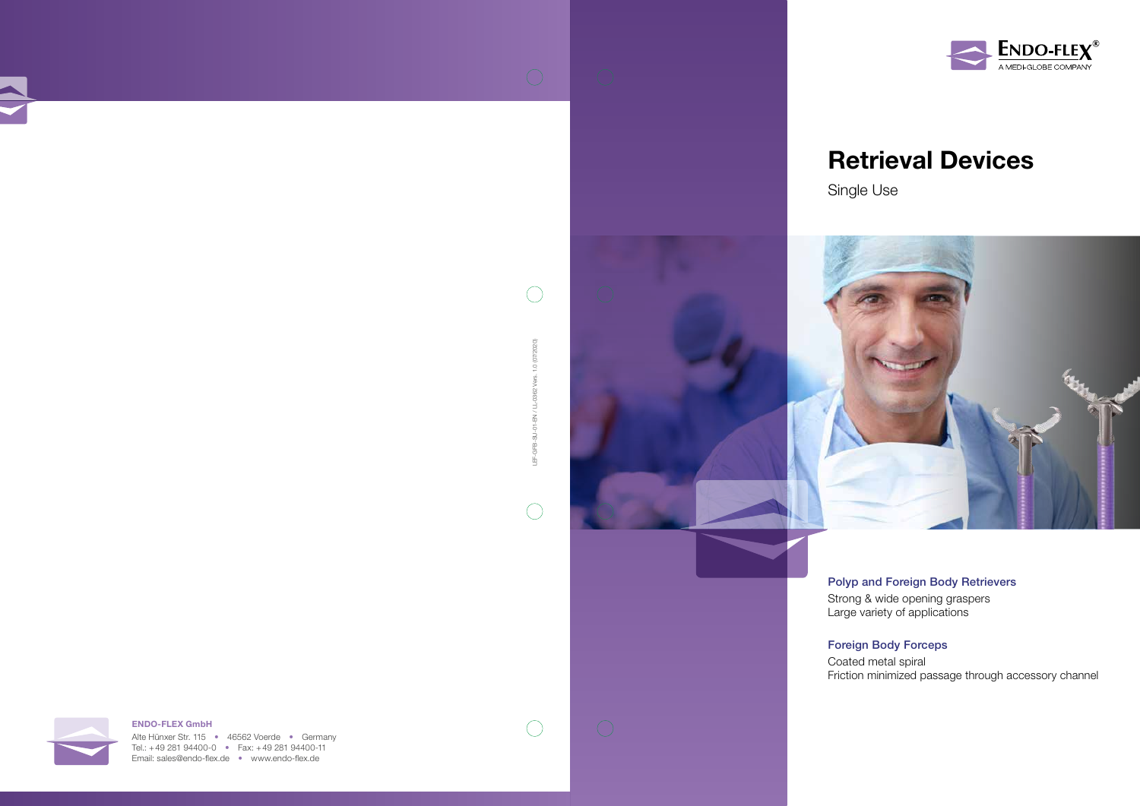## Retrieval Devices







Strong & wide opening graspers Large variety of applications

### Polyp and Foreign Body Retrievers

#### Foreign Body Forceps

Coated metal spiral Friction minimized passage through accessory channel

Alte Hünxer Str. 115 • 46562 Voerde • Germany Tel.: +49 281 94400-0 • Fax: +49 281 94400-11 Email: sales@endo-flex.de • www.endo-flex.de

 $\bigcirc$ 



## ENDO-FLEX GmbH



茑

 $\bigcirc$